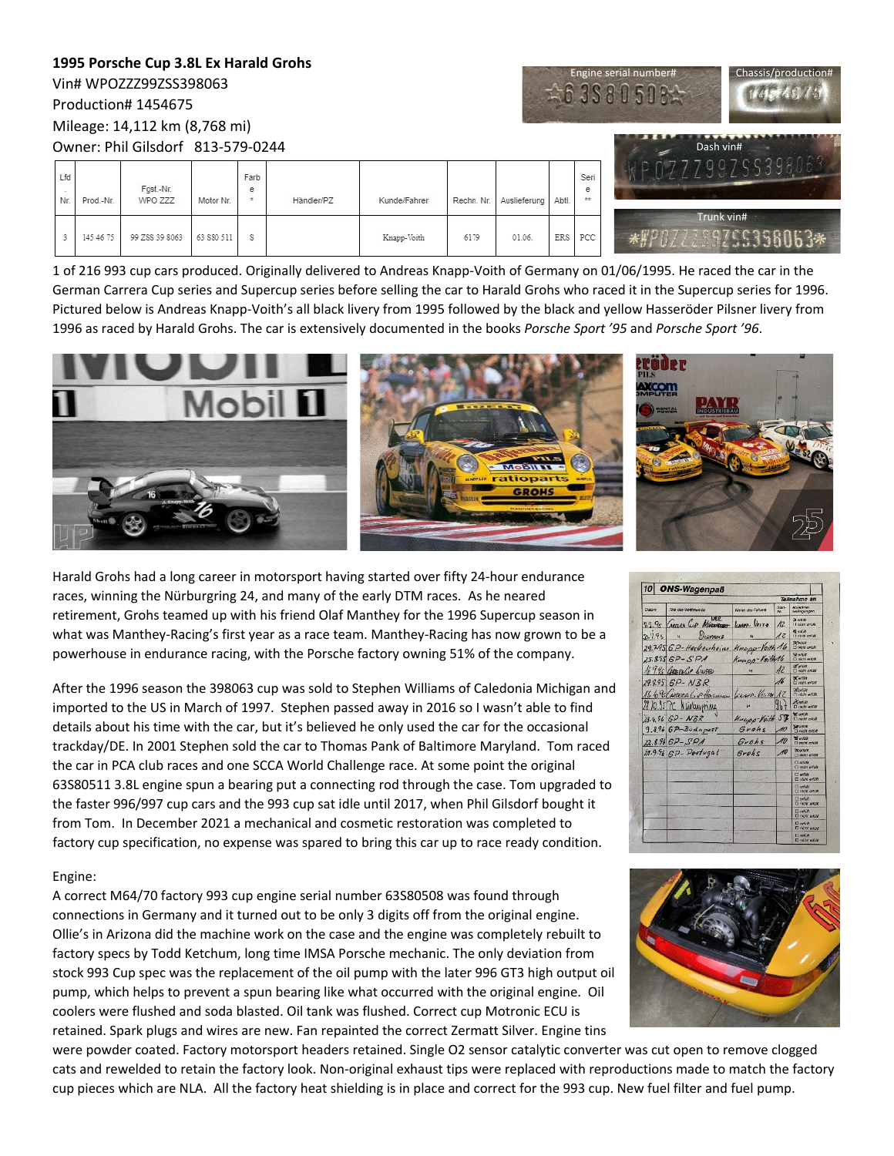#### **1995 Porsche Cup 3.8L Ex Harald Grohs**  $Chassis/production$ Vin# WPOZZZ99ZSS398063 £63S8050  $1141374877$ Production# 1454675 Mileage: 14,112 km (8,768 mi) Dash vin# Owner: Phil Gilsdorf 813-579-0244 7997 l fd Farb Ser Fgst.-Nr  $^{\circ}$  $\frac{e}{n}$ Nr. Prod.-Nr. WPO ZZZ Motor No Händler/PZ Kunde/Fahrer Rechn. Nr Auslieferung Abtl Trunk vin#145 46 75  $\sqrt{3}$ 99 ZSS 39 8063 63 S80 511 s Knapp-Voith 6179 01.06 ERS PCC  $5506.3*$

1 of 216 993 cup cars produced. Originally delivered to Andreas Knapp-Voith of Germany on 01/06/1995. He raced the car in the German Carrera Cup series and Supercup series before selling the car to Harald Grohs who raced it in the Supercup series for 1996. Pictured below is Andreas Knapp-Voith's all black livery from 1995 followed by the black and yellow Hasseröder Pilsner livery from 1996 as raced by Harald Grohs. The car is extensively documented in the books *Porsche Sport '95* and *Porsche Sport '96*.







 $\frac{Surt}{M}$ 

 $\mathcal{A}_{b}$ napp-Voith16

 $\overline{\Lambda}$ 

 $\overline{\mathcal{U}}$ 

 $967$ 

10

Voith 57

 $U_{\theta T \cdot \theta}$  $\overline{a}$ 

mapp-You

Grohs

Grohs

Grohs

10 ONS-Wagenpaß

77.95 General Phines

29.795 6P-Hockenheim

 $84$  (see the 28.10.95 PC Minlaugning

25.8.95 6P-5PA 16.9.95 GEBERALLE SINGED

29.9.95 GP-NBR

18.4.96 6P - NBR

22.8.96 GP-SPA

 $9.8966$   $6$ P-Budapest

 $20.9.96$  GP - Portugal

 $20.795$ 

Harald Grohs had a long career in motorsport having started over fifty 24-hour endurance races, winning the Nürburgring 24, and many of the early DTM races. As he neared retirement, Grohs teamed up with his friend Olaf Manthey for the 1996 Supercup season in what was Manthey-Racing's first year as a race team. Manthey-Racing has now grown to be a powerhouse in endurance racing, with the Porsche factory owning 51% of the company.

After the 1996 season the 398063 cup was sold to Stephen Williams of Caledonia Michigan and imported to the US in March of 1997. Stephen passed away in 2016 so I wasn't able to find details about his time with the car, but it's believed he only used the car for the occasional trackday/DE. In 2001 Stephen sold the car to Thomas Pank of Baltimore Maryland. Tom raced the car in PCA club races and one SCCA World Challenge race. At some point the original 63S80511 3.8L engine spun a bearing put a connecting rod through the case. Tom upgraded to the faster 996/997 cup cars and the 993 cup sat idle until 2017, when Phil Gilsdorf bought it from Tom. In December 2021 a mechanical and cosmetic restoration was completed to factory cup specification, no expense was spared to bring this car up to race ready condition.

# Engine:

A correct M64/70 factory 993 cup engine serial number 63S80508 was found through connections in Germany and it turned out to be only 3 digits off from the original engine. Ollie's in Arizona did the machine work on the case and the engine was completely rebuilt to factory specs by Todd Ketchum, long time IMSA Porsche mechanic. The only deviation from stock 993 Cup spec was the replacement of the oil pump with the later 996 GT3 high output oil pump, which helps to prevent a spun bearing like what occurred with the original engine. Oil coolers were flushed and soda blasted. Oil tank was flushed. Correct cup Motronic ECU is retained. Spark plugs and wires are new. Fan repainted the correct Zermatt Silver. Engine tins

were powder coated. Factory motorsport headers retained. Single O2 sensor catalytic converter was cut open to remove clogged cats and rewelded to retain the factory look. Non-original exhaust tips were replaced with reproductions made to match the factory cup pieces which are NLA. All the factory heat shielding is in place and correct for the 993 cup. New fuel filter and fuel pump.